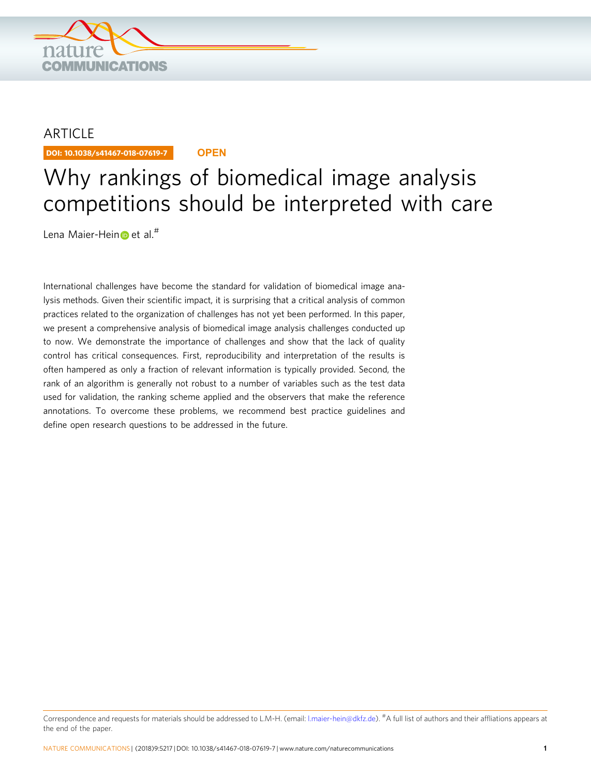

## **ARTICLE**

DOI: 10.1038/s41467-018-07619-7 **OPEN**

# Why rankings of biomedical image analysis competitions should be interpreted with care

Le[n](http://orcid.org/0000-0003-4910-9368)a Maier-Hein et al.<sup>#</sup>

International challenges have become the standard for validation of biomedical image analysis methods. Given their scientific impact, it is surprising that a critical analysis of common practices related to the organization of challenges has not yet been performed. In this paper, we present a comprehensive analysis of biomedical image analysis challenges conducted up to now. We demonstrate the importance of challenges and show that the lack of quality control has critical consequences. First, reproducibility and interpretation of the results is often hampered as only a fraction of relevant information is typically provided. Second, the rank of an algorithm is generally not robust to a number of variables such as the test data used for validation, the ranking scheme applied and the observers that make the reference annotations. To overcome these problems, we recommend best practice guidelines and define open research questions to be addressed in the future.

Correspondence and requests for materials should be addressed to L.M-H. (email: [l.maier-hein@dkfz.de](mailto:l.maier-hein@dkfz.de)). <sup>#</sup>A full list of authors and their affliations appears at the end of the paper.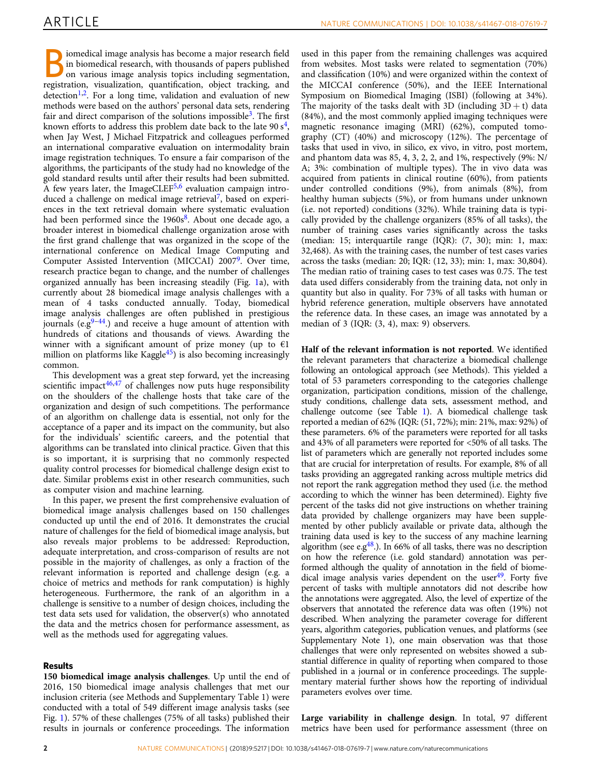iomedical image analysis has become a major research field in biomedical research, with thousands of papers published on various image analysis topics including segmentation, registration, visualization, quantification, object tracking, and detection<sup>1,[2](#page-10-0)</sup>. For a long time, validation and evaluation of new methods were based on the authors' personal data sets, rendering fair and direct comparison of the solutions impossible<sup>[3](#page-10-0)</sup>. The first known efforts to address this problem date back to the late 90  $s<sup>4</sup>$ , when Jay West, J Michael Fitzpatrick and colleagues performed an international comparative evaluation on intermodality brain image registration techniques. To ensure a fair comparison of the algorithms, the participants of the study had no knowledge of the gold standard results until after their results had been submitted. A few years later, the ImageCLEF $5,6$  evaluation campaign introduced a challenge on medical image retrieval<sup>7</sup>, based on experiences in the text retrieval domain where systematic evaluation had been performed since the  $1960s<sup>8</sup>$  $1960s<sup>8</sup>$  $1960s<sup>8</sup>$ . About one decade ago, a broader interest in biomedical challenge organization arose with the first grand challenge that was organized in the scope of the international conference on Medical Image Computing and Computer Assisted Intervention (MICCAI) 2007<sup>[9](#page-10-0)</sup>. Over time, research practice began to change, and the number of challenges organized annually has been increasing steadily (Fig. [1](#page-2-0)a), with currently about 28 biomedical image analysis challenges with a mean of 4 tasks conducted annually. Today, biomedical image analysis challenges are often published in prestigious journals (e.g $9-44$  $9-44$  $9-44$ .) and receive a huge amount of attention with hundreds of citations and thousands of views. Awarding the winner with a significant amount of prize money (up to  $E1$ million on platforms like Kaggle $45$ ) is also becoming increasingly common.

This development was a great step forward, yet the increasing scientific impact $46,47$  of challenges now puts huge responsibility on the shoulders of the challenge hosts that take care of the organization and design of such competitions. The performance of an algorithm on challenge data is essential, not only for the acceptance of a paper and its impact on the community, but also for the individuals' scientific careers, and the potential that algorithms can be translated into clinical practice. Given that this is so important, it is surprising that no commonly respected quality control processes for biomedical challenge design exist to date. Similar problems exist in other research communities, such as computer vision and machine learning.

In this paper, we present the first comprehensive evaluation of biomedical image analysis challenges based on 150 challenges conducted up until the end of 2016. It demonstrates the crucial nature of challenges for the field of biomedical image analysis, but also reveals major problems to be addressed: Reproduction, adequate interpretation, and cross-comparison of results are not possible in the majority of challenges, as only a fraction of the relevant information is reported and challenge design (e.g. a choice of metrics and methods for rank computation) is highly heterogeneous. Furthermore, the rank of an algorithm in a challenge is sensitive to a number of design choices, including the test data sets used for validation, the observer(s) who annotated the data and the metrics chosen for performance assessment, as well as the methods used for aggregating values.

### Results

150 biomedical image analysis challenges. Up until the end of 2016, 150 biomedical image analysis challenges that met our inclusion criteria (see Methods and Supplementary Table 1) were conducted with a total of 549 different image analysis tasks (see Fig. [1\)](#page-2-0). 57% of these challenges (75% of all tasks) published their results in journals or conference proceedings. The information

used in this paper from the remaining challenges was acquired from websites. Most tasks were related to segmentation (70%) and classification (10%) and were organized within the context of the MICCAI conference (50%), and the IEEE International Symposium on Biomedical Imaging (ISBI) (following at 34%). The majority of the tasks dealt with 3D (including  $3D + t$ ) data (84%), and the most commonly applied imaging techniques were magnetic resonance imaging (MRI) (62%), computed tomography (CT) (40%) and microscopy (12%). The percentage of tasks that used in vivo, in silico, ex vivo, in vitro, post mortem, and phantom data was 85, 4, 3, 2, 2, and 1%, respectively (9%: N/ A; 3%: combination of multiple types). The in vivo data was acquired from patients in clinical routine (60%), from patients under controlled conditions (9%), from animals (8%), from healthy human subjects (5%), or from humans under unknown (i.e. not reported) conditions (32%). While training data is typically provided by the challenge organizers (85% of all tasks), the number of training cases varies significantly across the tasks (median: 15; interquartile range (IQR): (7, 30); min: 1, max: 32,468). As with the training cases, the number of test cases varies across the tasks (median: 20; IQR: (12, 33); min: 1, max: 30,804). The median ratio of training cases to test cases was 0.75. The test data used differs considerably from the training data, not only in quantity but also in quality. For 73% of all tasks with human or hybrid reference generation, multiple observers have annotated the reference data. In these cases, an image was annotated by a median of 3 (IQR: (3, 4), max: 9) observers.

Half of the relevant information is not reported. We identified the relevant parameters that characterize a biomedical challenge following an ontological approach (see Methods). This yielded a total of 53 parameters corresponding to the categories challenge organization, participation conditions, mission of the challenge, study conditions, challenge data sets, assessment method, and challenge outcome (see Table [1\)](#page-3-0). A biomedical challenge task reported a median of 62% (IQR: (51, 72%); min: 21%, max: 92%) of these parameters. 6% of the parameters were reported for all tasks and 43% of all parameters were reported for <50% of all tasks. The list of parameters which are generally not reported includes some that are crucial for interpretation of results. For example, 8% of all tasks providing an aggregated ranking across multiple metrics did not report the rank aggregation method they used (i.e. the method according to which the winner has been determined). Eighty five percent of the tasks did not give instructions on whether training data provided by challenge organizers may have been supplemented by other publicly available or private data, although the training data used is key to the success of any machine learning algorithm (see e.g $48$ .). In 66% of all tasks, there was no description on how the reference (i.e. gold standard) annotation was performed although the quality of annotation in the field of biomedical image analysis varies dependent on the user $49$ . Forty five percent of tasks with multiple annotators did not describe how the annotations were aggregated. Also, the level of expertize of the observers that annotated the reference data was often (19%) not described. When analyzing the parameter coverage for different years, algorithm categories, publication venues, and platforms (see Supplementary Note 1), one main observation was that those challenges that were only represented on websites showed a substantial difference in quality of reporting when compared to those published in a journal or in conference proceedings. The supplementary material further shows how the reporting of individual parameters evolves over time.

Large variability in challenge design. In total, 97 different metrics have been used for performance assessment (three on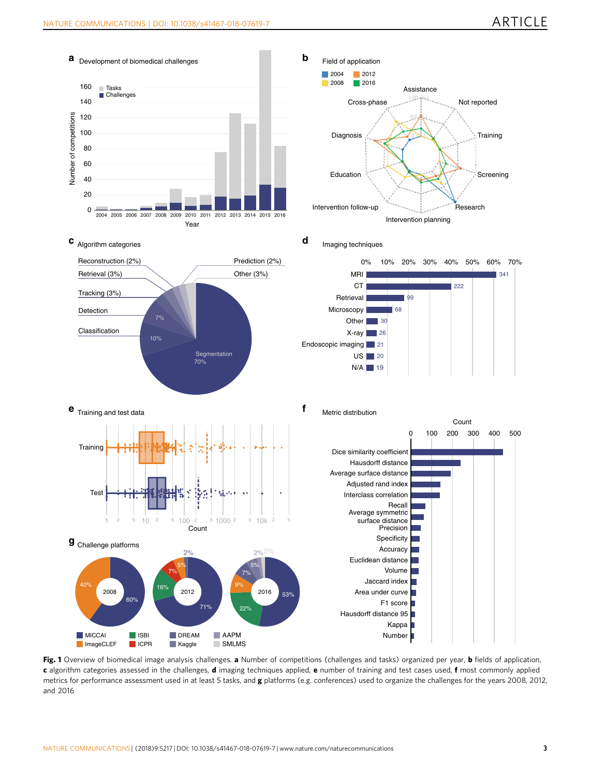<span id="page-2-0"></span>

Fig. 1 Overview of biomedical image analysis challenges. a Number of competitions (challenges and tasks) organized per year, b fields of application, c algorithm categories assessed in the challenges, d imaging techniques applied, e number of training and test cases used, f most commonly applied metrics for performance assessment used in at least 5 tasks, and g platforms (e.g. conferences) used to organize the challenges for the years 2008, 2012, and 2016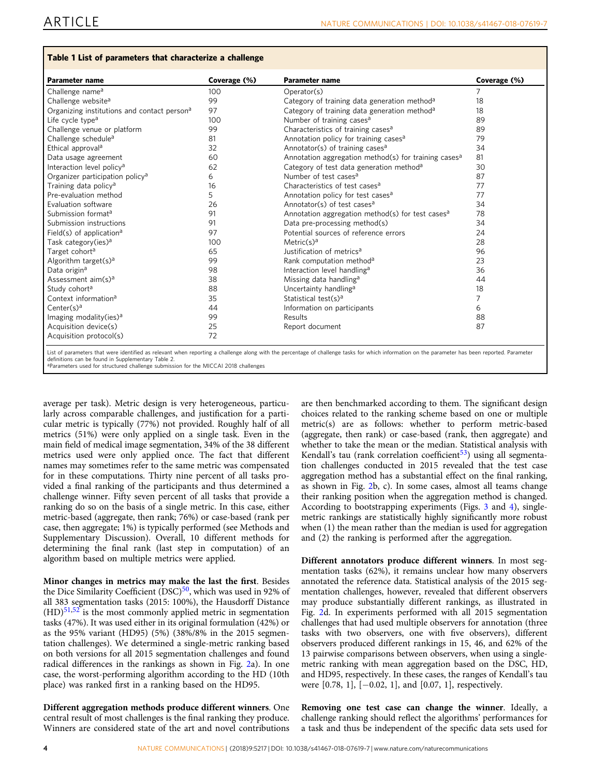### <span id="page-3-0"></span>Table 1 List of parameters that characterize a challenge

| <b>Parameter name</b>                                   | Coverage (%) | <b>Parameter name</b>                                            | Coverage (%) |
|---------------------------------------------------------|--------------|------------------------------------------------------------------|--------------|
| Challenge name <sup>a</sup>                             | 100          | Operator(s)                                                      | 7            |
| Challenge website <sup>a</sup>                          | 99           | Category of training data generation method <sup>a</sup>         | 18           |
| Organizing institutions and contact person <sup>a</sup> | 97           | Category of training data generation method <sup>a</sup>         | 18           |
| Life cycle type <sup>a</sup>                            | 100          | Number of training cases <sup>a</sup>                            | 89           |
| Challenge venue or platform                             | 99           | Characteristics of training cases <sup>a</sup>                   | 89           |
| Challenge schedule <sup>a</sup>                         | 81           | Annotation policy for training cases <sup>a</sup>                | 79           |
| Ethical approval <sup>a</sup>                           | 32           | Annotator(s) of training cases <sup>a</sup>                      | 34           |
| Data usage agreement                                    | 60           | Annotation aggregation method(s) for training cases <sup>a</sup> | 81           |
| Interaction level policy <sup>a</sup>                   | 62           | Category of test data generation method <sup>a</sup>             | 30           |
| Organizer participation policy <sup>a</sup>             | 6            | Number of test cases <sup>a</sup>                                | 87           |
| Training data policy <sup>a</sup>                       | 16           | Characteristics of test cases <sup>a</sup>                       | 77           |
| Pre-evaluation method                                   | 5.           | Annotation policy for test cases <sup>a</sup>                    | 77           |
| Evaluation software                                     | 26           | Annotator(s) of test cases <sup>a</sup>                          | 34           |
| Submission format <sup>a</sup>                          | 91           | Annotation aggregation method(s) for test cases <sup>a</sup>     | 78           |
| Submission instructions                                 | 91           | Data pre-processing method(s)                                    | 34           |
| Field(s) of application <sup>a</sup>                    | 97           | Potential sources of reference errors                            | 24           |
| Task category(ies) <sup>a</sup>                         | 100          | Metric $(s)^a$                                                   | 28           |
| Target cohort <sup>a</sup>                              | 65           | Justification of metrics <sup>a</sup>                            | 96           |
| Algorithm target(s) <sup>a</sup>                        | 99           | Rank computation method <sup>a</sup>                             | 23           |
| Data origin <sup>a</sup>                                | 98           | Interaction level handling <sup>a</sup>                          | 36           |
| Assessment $aim(s)a$                                    | 38           | Missing data handling <sup>a</sup>                               | 44           |
| Study cohort <sup>a</sup>                               | 88           | Uncertainty handling <sup>a</sup>                                | 18           |
| Context information <sup>a</sup>                        | 35           | Statistical test(s) <sup>a</sup>                                 | 7            |
| $Center(s)^a$                                           | 44           | Information on participants                                      | 6            |
| Imaging modality(ies) <sup>a</sup>                      | 99           | Results                                                          | 88           |
| Acquisition device(s)                                   | 25           | Report document                                                  | 87           |
| Acquisition protocol(s)                                 | 72           |                                                                  |              |

definitions can be found in Supplementary Table 2.

average per task). Metric design is very heterogeneous, particularly across comparable challenges, and justification for a particular metric is typically (77%) not provided. Roughly half of all metrics (51%) were only applied on a single task. Even in the main field of medical image segmentation, 34% of the 38 different metrics used were only applied once. The fact that different names may sometimes refer to the same metric was compensated for in these computations. Thirty nine percent of all tasks provided a final ranking of the participants and thus determined a challenge winner. Fifty seven percent of all tasks that provide a ranking do so on the basis of a single metric. In this case, either metric-based (aggregate, then rank; 76%) or case-based (rank per case, then aggregate; 1%) is typically performed (see Methods and Supplementary Discussion). Overall, 10 different methods for aParameters used for structured challenge submission for the MICCAI 2018 challenges

Minor changes in metrics may make the last the first. Besides the Dice Similarity Coefficient  $(DSC)^{50}$ , which was used in 92% of all 383 segmentation tasks (2015: 100%), the Hausdorff Distance  $(HD)^{51,52}$  is the most commonly applied metric in segmentation tasks (47%). It was used either in its original formulation (42%) or as the 95% variant (HD95) (5%) (38%/8% in the 2015 segmentation challenges). We determined a single-metric ranking based on both versions for all 2015 segmentation challenges and found radical differences in the rankings as shown in Fig. [2a](#page-4-0)). In one case, the worst-performing algorithm according to the HD (10th place) was ranked first in a ranking based on the HD95.

determining the final rank (last step in computation) of an

algorithm based on multiple metrics were applied.

Different aggregation methods produce different winners. One central result of most challenges is the final ranking they produce. Winners are considered state of the art and novel contributions are then benchmarked according to them. The significant design choices related to the ranking scheme based on one or multiple metric(s) are as follows: whether to perform metric-based (aggregate, then rank) or case-based (rank, then aggregate) and whether to take the mean or the median. Statistical analysis with Kendall's tau (rank correlation coefficient $53$ ) using all segmentation challenges conducted in 2015 revealed that the test case aggregation method has a substantial effect on the final ranking, as shown in Fig. [2b](#page-4-0), c). In some cases, almost all teams change their ranking position when the aggregation method is changed. According to bootstrapping experiments (Figs. [3](#page-5-0) and [4\)](#page-5-0), singlemetric rankings are statistically highly significantly more robust when (1) the mean rather than the median is used for aggregation and (2) the ranking is performed after the aggregation.

Different annotators produce different winners. In most segmentation tasks (62%), it remains unclear how many observers annotated the reference data. Statistical analysis of the 2015 segmentation challenges, however, revealed that different observers may produce substantially different rankings, as illustrated in Fig. [2](#page-4-0)d. In experiments performed with all 2015 segmentation challenges that had used multiple observers for annotation (three tasks with two observers, one with five observers), different observers produced different rankings in 15, 46, and 62% of the 13 pairwise comparisons between observers, when using a singlemetric ranking with mean aggregation based on the DSC, HD, and HD95, respectively. In these cases, the ranges of Kendall's tau were [0.78, 1], [−0.02, 1], and [0.07, 1], respectively.

Removing one test case can change the winner. Ideally, a challenge ranking should reflect the algorithms' performances for a task and thus be independent of the specific data sets used for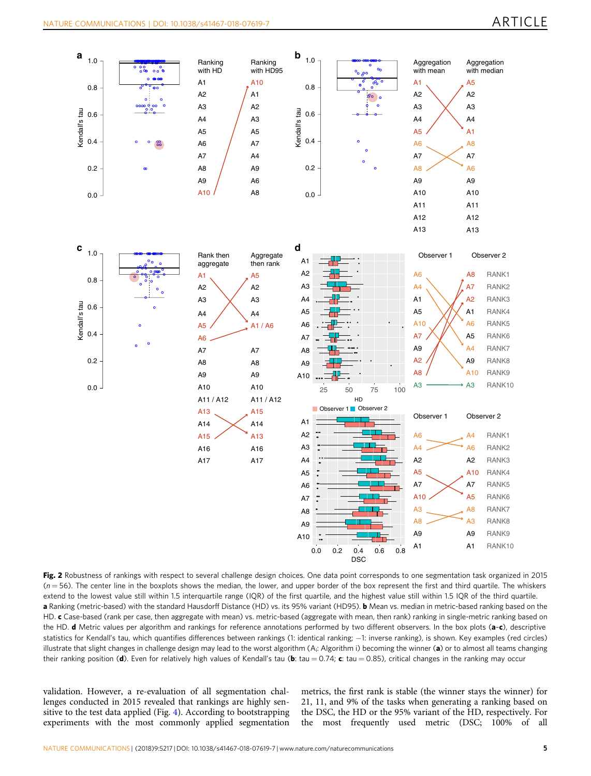<span id="page-4-0"></span>

Fig. 2 Robustness of rankings with respect to several challenge design choices. One data point corresponds to one segmentation task organized in 2015  $(n = 56)$ . The center line in the boxplots shows the median, the lower, and upper border of the box represent the first and third quartile. The whiskers extend to the lowest value still within 1.5 interquartile range (IQR) of the first quartile, and the highest value still within 1.5 IQR of the third quartile. a Ranking (metric-based) with the standard Hausdorff Distance (HD) vs. its 95% variant (HD95). b Mean vs. median in metric-based ranking based on the HD. c Case-based (rank per case, then aggregate with mean) vs. metric-based (aggregate with mean, then rank) ranking in single-metric ranking based on the HD. **d** Metric values per algorithm and rankings for reference annotations performed by two different observers. In the box plots (a-c), descriptive statistics for Kendall's tau, which quantifies differences between rankings (1: identical ranking; −1: inverse ranking), is shown. Key examples (red circles) illustrate that slight changes in challenge design may lead to the worst algorithm (A<sub>i</sub>: Algorithm i) becoming the winner (a) or to almost all teams changing their ranking position (d). Even for relatively high values of Kendall's tau (b: tau = 0.74; c: tau = 0.85), critical changes in the ranking may occur

validation. However, a re-evaluation of all segmentation challenges conducted in 2015 revealed that rankings are highly sensitive to the test data applied (Fig. [4\)](#page-5-0). According to bootstrapping experiments with the most commonly applied segmentation metrics, the first rank is stable (the winner stays the winner) for 21, 11, and 9% of the tasks when generating a ranking based on the DSC, the HD or the 95% variant of the HD, respectively. For the most frequently used metric (DSC; 100% of all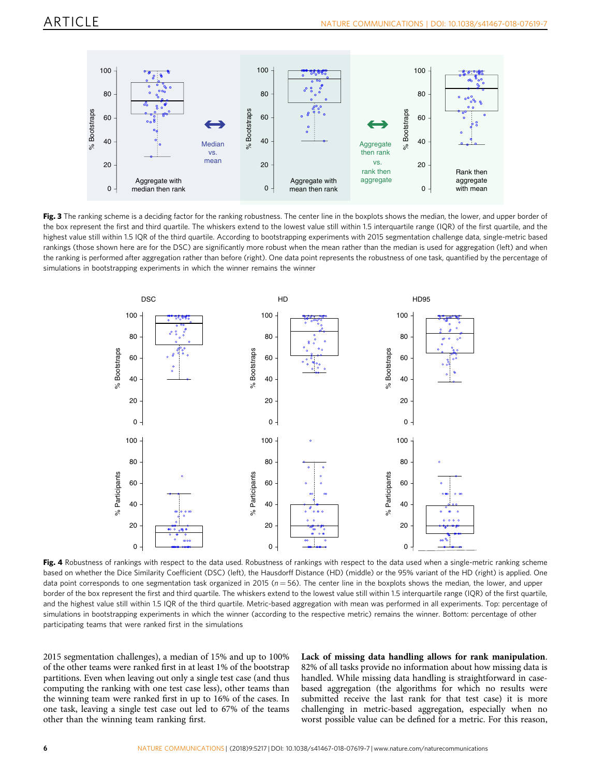<span id="page-5-0"></span>

Fig. 3 The ranking scheme is a deciding factor for the ranking robustness. The center line in the boxplots shows the median, the lower, and upper border of the box represent the first and third quartile. The whiskers extend to the lowest value still within 1.5 interquartile range (IQR) of the first quartile, and the highest value still within 1.5 IQR of the third quartile. According to bootstrapping experiments with 2015 segmentation challenge data, single-metric based rankings (those shown here are for the DSC) are significantly more robust when the mean rather than the median is used for aggregation (left) and when the ranking is performed after aggregation rather than before (right). One data point represents the robustness of one task, quantified by the percentage of simulations in bootstrapping experiments in which the winner remains the winner



Fig. 4 Robustness of rankings with respect to the data used. Robustness of rankings with respect to the data used when a single-metric ranking scheme based on whether the Dice Similarity Coefficient (DSC) (left), the Hausdorff Distance (HD) (middle) or the 95% variant of the HD (right) is applied. One data point corresponds to one segmentation task organized in 2015 ( $n = 56$ ). The center line in the boxplots shows the median, the lower, and upper border of the box represent the first and third quartile. The whiskers extend to the lowest value still within 1.5 interquartile range (IQR) of the first quartile, and the highest value still within 1.5 IQR of the third quartile. Metric-based aggregation with mean was performed in all experiments. Top: percentage of simulations in bootstrapping experiments in which the winner (according to the respective metric) remains the winner. Bottom: percentage of other participating teams that were ranked first in the simulations

2015 segmentation challenges), a median of 15% and up to 100% of the other teams were ranked first in at least 1% of the bootstrap partitions. Even when leaving out only a single test case (and thus computing the ranking with one test case less), other teams than the winning team were ranked first in up to 16% of the cases. In one task, leaving a single test case out led to 67% of the teams other than the winning team ranking first.

Lack of missing data handling allows for rank manipulation. 82% of all tasks provide no information about how missing data is handled. While missing data handling is straightforward in casebased aggregation (the algorithms for which no results were submitted receive the last rank for that test case) it is more challenging in metric-based aggregation, especially when no worst possible value can be defined for a metric. For this reason,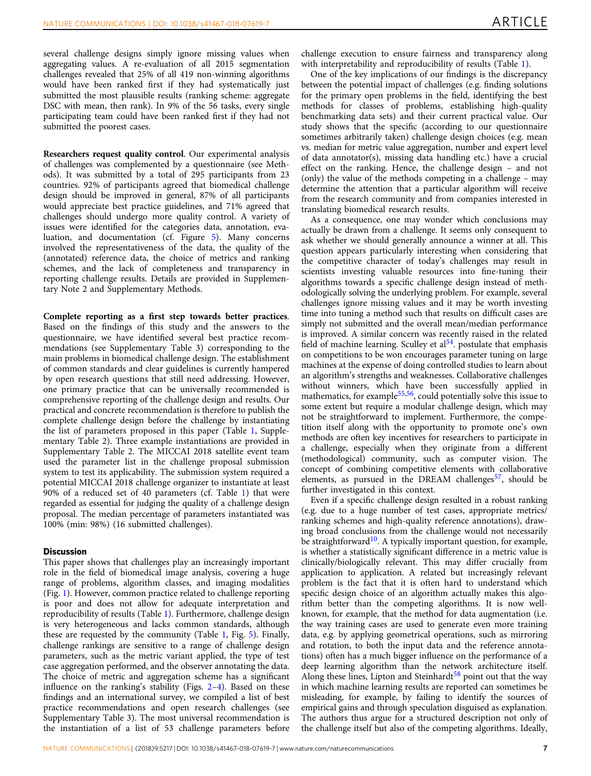several challenge designs simply ignore missing values when aggregating values. A re-evaluation of all 2015 segmentation challenges revealed that 25% of all 419 non-winning algorithms would have been ranked first if they had systematically just submitted the most plausible results (ranking scheme: aggregate DSC with mean, then rank). In 9% of the 56 tasks, every single participating team could have been ranked first if they had not submitted the poorest cases.

Researchers request quality control. Our experimental analysis of challenges was complemented by a questionnaire (see Methods). It was submitted by a total of 295 participants from 23 countries. 92% of participants agreed that biomedical challenge design should be improved in general, 87% of all participants would appreciate best practice guidelines, and 71% agreed that challenges should undergo more quality control. A variety of issues were identified for the categories data, annotation, evaluation, and documentation (cf. Figure [5](#page-7-0)). Many concerns involved the representativeness of the data, the quality of the (annotated) reference data, the choice of metrics and ranking schemes, and the lack of completeness and transparency in reporting challenge results. Details are provided in Supplementary Note 2 and Supplementary Methods.

Complete reporting as a first step towards better practices. Based on the findings of this study and the answers to the questionnaire, we have identified several best practice recommendations (see Supplementary Table 3) corresponding to the main problems in biomedical challenge design. The establishment of common standards and clear guidelines is currently hampered by open research questions that still need addressing. However, one primary practice that can be universally recommended is comprehensive reporting of the challenge design and results. Our practical and concrete recommendation is therefore to publish the complete challenge design before the challenge by instantiating the list of parameters proposed in this paper (Table [1,](#page-3-0) Supplementary Table 2). Three example instantiations are provided in Supplementary Table 2. The MICCAI 2018 satellite event team used the parameter list in the challenge proposal submission system to test its applicability. The submission system required a potential MICCAI 2018 challenge organizer to instantiate at least 90% of a reduced set of 40 parameters (cf. Table [1\)](#page-3-0) that were regarded as essential for judging the quality of a challenge design proposal. The median percentage of parameters instantiated was 100% (min: 98%) (16 submitted challenges).

#### **Discussion**

This paper shows that challenges play an increasingly important role in the field of biomedical image analysis, covering a huge range of problems, algorithm classes, and imaging modalities (Fig. [1](#page-2-0)). However, common practice related to challenge reporting is poor and does not allow for adequate interpretation and reproducibility of results (Table [1\)](#page-3-0). Furthermore, challenge design is very heterogeneous and lacks common standards, although these are requested by the community (Table [1,](#page-3-0) Fig. [5](#page-7-0)). Finally, challenge rankings are sensitive to a range of challenge design parameters, such as the metric variant applied, the type of test case aggregation performed, and the observer annotating the data. The choice of metric and aggregation scheme has a significant influence on the ranking's stability (Figs. [2](#page-4-0)–[4](#page-5-0)). Based on these findings and an international survey, we compiled a list of best practice recommendations and open research challenges (see Supplementary Table 3). The most universal recommendation is the instantiation of a list of 53 challenge parameters before

challenge execution to ensure fairness and transparency along with interpretability and reproducibility of results (Table [1\)](#page-3-0).

One of the key implications of our findings is the discrepancy between the potential impact of challenges (e.g. finding solutions for the primary open problems in the field, identifying the best methods for classes of problems, establishing high-quality benchmarking data sets) and their current practical value. Our study shows that the specific (according to our questionnaire sometimes arbitrarily taken) challenge design choices (e.g. mean vs. median for metric value aggregation, number and expert level of data annotator(s), missing data handling etc.) have a crucial effect on the ranking. Hence, the challenge design – and not (only) the value of the methods competing in a challenge – may determine the attention that a particular algorithm will receive from the research community and from companies interested in translating biomedical research results.

As a consequence, one may wonder which conclusions may actually be drawn from a challenge. It seems only consequent to ask whether we should generally announce a winner at all. This question appears particularly interesting when considering that the competitive character of today's challenges may result in scientists investing valuable resources into fine-tuning their algorithms towards a specific challenge design instead of methodologically solving the underlying problem. For example, several challenges ignore missing values and it may be worth investing time into tuning a method such that results on difficult cases are simply not submitted and the overall mean/median performance is improved. A similar concern was recently raised in the related field of machine learning. Sculley et  $al<sup>54</sup>$  postulate that emphasis on competitions to be won encourages parameter tuning on large machines at the expense of doing controlled studies to learn about an algorithm's strengths and weaknesses. Collaborative challenges without winners, which have been successfully applied in mathematics, for example $55,56$ , could potentially solve this issue to some extent but require a modular challenge design, which may not be straightforward to implement. Furthermore, the competition itself along with the opportunity to promote one's own methods are often key incentives for researchers to participate in a challenge, especially when they originate from a different (methodological) community, such as computer vision. The concept of combining competitive elements with collaborative elements, as pursued in the DREAM challenges $57$ , should be further investigated in this context.

Even if a specific challenge design resulted in a robust ranking (e.g. due to a huge number of test cases, appropriate metrics/ ranking schemes and high-quality reference annotations), drawing broad conclusions from the challenge would not necessarily be straightforward<sup>[10](#page-10-0)</sup>. A typically important question, for example, is whether a statistically significant difference in a metric value is clinically/biologically relevant. This may differ crucially from application to application. A related but increasingly relevant problem is the fact that it is often hard to understand which specific design choice of an algorithm actually makes this algorithm better than the competing algorithms. It is now wellknown, for example, that the method for data augmentation (i.e. the way training cases are used to generate even more training data, e.g. by applying geometrical operations, such as mirroring and rotation, to both the input data and the reference annotations) often has a much bigger influence on the performance of a deep learning algorithm than the network architecture itself. Along these lines, Lipton and Steinhardt<sup>58</sup> point out that the way in which machine learning results are reported can sometimes be misleading, for example, by failing to identify the sources of empirical gains and through speculation disguised as explanation. The authors thus argue for a structured description not only of the challenge itself but also of the competing algorithms. Ideally,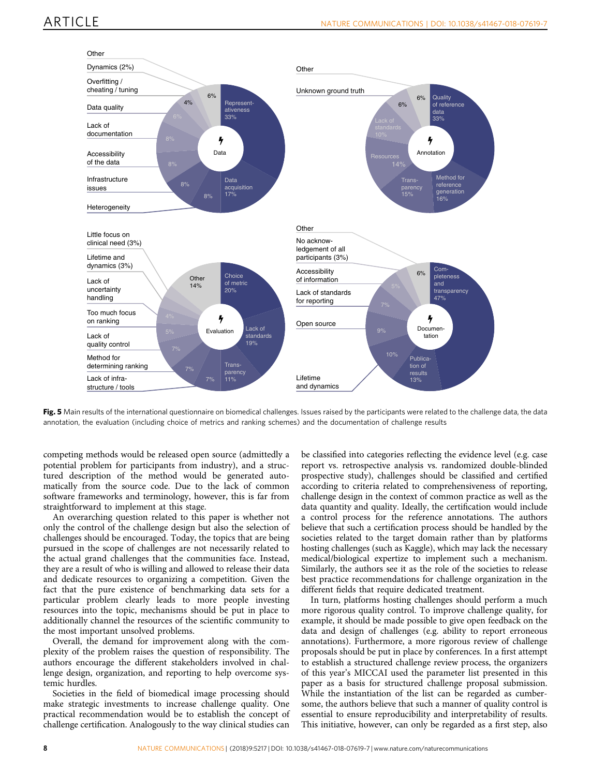<span id="page-7-0"></span>

Fig. 5 Main results of the international questionnaire on biomedical challenges. Issues raised by the participants were related to the challenge data, the data annotation, the evaluation (including choice of metrics and ranking schemes) and the documentation of challenge results

competing methods would be released open source (admittedly a potential problem for participants from industry), and a structured description of the method would be generated automatically from the source code. Due to the lack of common software frameworks and terminology, however, this is far from straightforward to implement at this stage.

An overarching question related to this paper is whether not only the control of the challenge design but also the selection of challenges should be encouraged. Today, the topics that are being pursued in the scope of challenges are not necessarily related to the actual grand challenges that the communities face. Instead, they are a result of who is willing and allowed to release their data and dedicate resources to organizing a competition. Given the fact that the pure existence of benchmarking data sets for a particular problem clearly leads to more people investing resources into the topic, mechanisms should be put in place to additionally channel the resources of the scientific community to the most important unsolved problems.

Overall, the demand for improvement along with the complexity of the problem raises the question of responsibility. The authors encourage the different stakeholders involved in challenge design, organization, and reporting to help overcome systemic hurdles.

Societies in the field of biomedical image processing should make strategic investments to increase challenge quality. One practical recommendation would be to establish the concept of challenge certification. Analogously to the way clinical studies can

be classified into categories reflecting the evidence level (e.g. case report vs. retrospective analysis vs. randomized double-blinded prospective study), challenges should be classified and certified according to criteria related to comprehensiveness of reporting, challenge design in the context of common practice as well as the data quantity and quality. Ideally, the certification would include a control process for the reference annotations. The authors believe that such a certification process should be handled by the societies related to the target domain rather than by platforms hosting challenges (such as Kaggle), which may lack the necessary medical/biological expertize to implement such a mechanism. Similarly, the authors see it as the role of the societies to release best practice recommendations for challenge organization in the different fields that require dedicated treatment.

In turn, platforms hosting challenges should perform a much more rigorous quality control. To improve challenge quality, for example, it should be made possible to give open feedback on the data and design of challenges (e.g. ability to report erroneous annotations). Furthermore, a more rigorous review of challenge proposals should be put in place by conferences. In a first attempt to establish a structured challenge review process, the organizers of this year's MICCAI used the parameter list presented in this paper as a basis for structured challenge proposal submission. While the instantiation of the list can be regarded as cumbersome, the authors believe that such a manner of quality control is essential to ensure reproducibility and interpretability of results. This initiative, however, can only be regarded as a first step, also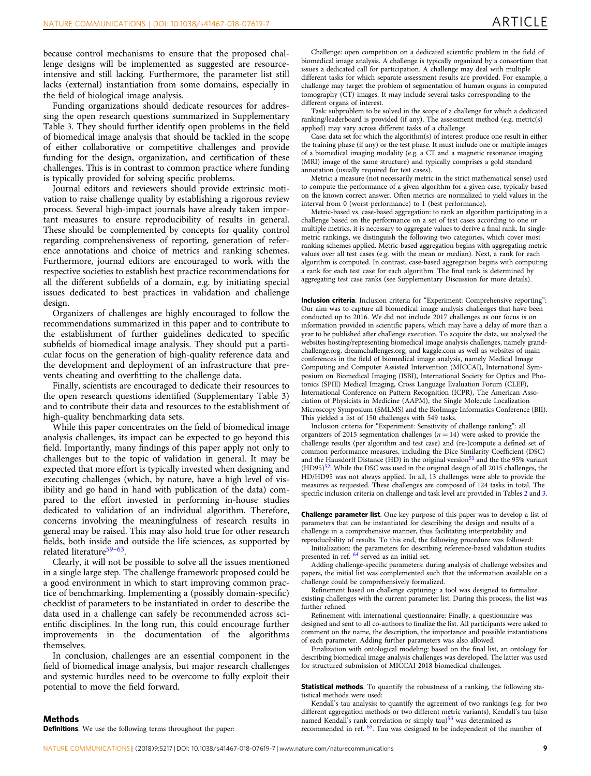because control mechanisms to ensure that the proposed challenge designs will be implemented as suggested are resourceintensive and still lacking. Furthermore, the parameter list still lacks (external) instantiation from some domains, especially in the field of biological image analysis.

Funding organizations should dedicate resources for addressing the open research questions summarized in Supplementary Table 3. They should further identify open problems in the field of biomedical image analysis that should be tackled in the scope of either collaborative or competitive challenges and provide funding for the design, organization, and certification of these challenges. This is in contrast to common practice where funding is typically provided for solving specific problems.

Journal editors and reviewers should provide extrinsic motivation to raise challenge quality by establishing a rigorous review process. Several high-impact journals have already taken important measures to ensure reproducibility of results in general. These should be complemented by concepts for quality control regarding comprehensiveness of reporting, generation of reference annotations and choice of metrics and ranking schemes. Furthermore, journal editors are encouraged to work with the respective societies to establish best practice recommendations for all the different subfields of a domain, e.g. by initiating special issues dedicated to best practices in validation and challenge design.

Organizers of challenges are highly encouraged to follow the recommendations summarized in this paper and to contribute to the establishment of further guidelines dedicated to specific subfields of biomedical image analysis. They should put a particular focus on the generation of high-quality reference data and the development and deployment of an infrastructure that prevents cheating and overfitting to the challenge data.

Finally, scientists are encouraged to dedicate their resources to the open research questions identified (Supplementary Table 3) and to contribute their data and resources to the establishment of high-quality benchmarking data sets.

While this paper concentrates on the field of biomedical image analysis challenges, its impact can be expected to go beyond this field. Importantly, many findings of this paper apply not only to challenges but to the topic of validation in general. It may be expected that more effort is typically invested when designing and executing challenges (which, by nature, have a high level of visibility and go hand in hand with publication of the data) compared to the effort invested in performing in-house studies dedicated to validation of an individual algorithm. Therefore, concerns involving the meaningfulness of research results in general may be raised. This may also hold true for other research fields, both inside and outside the life sciences, as supported by related literature<sup>[59](#page-11-0)-[63](#page-11-0)</sup>.

Clearly, it will not be possible to solve all the issues mentioned in a single large step. The challenge framework proposed could be a good environment in which to start improving common practice of benchmarking. Implementing a (possibly domain-specific) checklist of parameters to be instantiated in order to describe the data used in a challenge can safely be recommended across scientific disciplines. In the long run, this could encourage further improvements in the documentation of the algorithms themselves.

In conclusion, challenges are an essential component in the field of biomedical image analysis, but major research challenges and systemic hurdles need to be overcome to fully exploit their potential to move the field forward.

Challenge: open competition on a dedicated scientific problem in the field of biomedical image analysis. A challenge is typically organized by a consortium that issues a dedicated call for participation. A challenge may deal with multiple different tasks for which separate assessment results are provided. For example, a challenge may target the problem of segmentation of human organs in computed tomography (CT) images. It may include several tasks corresponding to the different organs of interest.

Task: subproblem to be solved in the scope of a challenge for which a dedicated ranking/leaderboard is provided (if any). The assessment method (e.g. metric(s) applied) may vary across different tasks of a challenge.

Case: data set for which the algorithm(s) of interest produce one result in either the training phase (if any) or the test phase. It must include one or multiple images of a biomedical imaging modality (e.g. a CT and a magnetic resonance imaging (MRI) image of the same structure) and typically comprises a gold standard annotation (usually required for test cases).

Metric: a measure (not necessarily metric in the strict mathematical sense) used to compute the performance of a given algorithm for a given case, typically based on the known correct answer. Often metrics are normalized to yield values in the interval from 0 (worst performance) to 1 (best performance).

Metric-based vs. case-based aggregation: to rank an algorithm participating in a challenge based on the performance on a set of test cases according to one or multiple metrics, it is necessary to aggregate values to derive a final rank. In singlemetric rankings, we distinguish the following two categories, which cover most ranking schemes applied. Metric-based aggregation begins with aggregating metric values over all test cases (e.g. with the mean or median). Next, a rank for each algorithm is computed. In contrast, case-based aggregation begins with computing a rank for each test case for each algorithm. The final rank is determined by aggregating test case ranks (see Supplementary Discussion for more details).

Inclusion criteria. Inclusion criteria for "Experiment: Comprehensive reporting": Our aim was to capture all biomedical image analysis challenges that have been conducted up to 2016. We did not include 2017 challenges as our focus is on information provided in scientific papers, which may have a delay of more than a year to be published after challenge execution. To acquire the data, we analyzed the websites hosting/representing biomedical image analysis challenges, namely grandchallenge.org, dreamchallenges.org, and kaggle.com as well as websites of main conferences in the field of biomedical image analysis, namely Medical Image Computing and Computer Assisted Intervention (MICCAI), International Symposium on Biomedical Imaging (ISBI), International Society for Optics and Photonics (SPIE) Medical Imaging, Cross Language Evaluation Forum (CLEF), International Conference on Pattern Recognition (ICPR), The American Association of Physicists in Medicine (AAPM), the Single Molecule Localization Microscopy Symposium (SMLMS) and the BioImage Informatics Conference (BII). This yielded a list of 150 challenges with 549 tasks.

Inclusion criteria for "Experiment: Sensitivity of challenge ranking": all organizers of 2015 segmentation challenges ( $n = 14$ ) were asked to provide the challenge results (per algorithm and test case) and (re-)compute a defined set of common performance measures, including the Dice Similarity Coefficient (DSC) and the Hausdorff Distance (HD) in the original version<sup>[51](#page-11-0)</sup> and the the 95% variant (HD95)<sup>52</sup>. While the DSC was used in the original design of all 2015 challenges, the HD/HD95 was not always applied. In all, 13 challenges were able to provide the measures as requested. These challenges are composed of 124 tasks in total. The specific inclusion criteria on challenge and task level are provided in Tables [2](#page-9-0) and [3](#page-9-0).

**Challenge parameter list**. One key purpose of this paper was to develop a list of parameters that can be instantiated for describing the design and results of a challenge in a comprehensive manner, thus facilitating interpretability and reproducibility of results. To this end, the following procedure was followed:

Initialization: the parameters for describing reference-based validation studies presented in ref. [64](#page-11-0) served as an initial set.

Adding challenge-specific parameters: during analysis of challenge websites and papers, the initial list was complemented such that the information available on a challenge could be comprehensively formalized.

Refinement based on challenge capturing: a tool was designed to formalize existing challenges with the current parameter list. During this process, the list was further refined.

Refinement with international questionnaire: Finally, a questionnaire was designed and sent to all co-authors to finalize the list. All participants were asked to comment on the name, the description, the importance and possible instantiations of each parameter. Adding further parameters was also allowed.

Finalization with ontological modeling: based on the final list, an ontology for describing biomedical image analysis challenges was developed. The latter was used for structured submission of MICCAI 2018 biomedical challenges.

Statistical methods. To quantify the robustness of a ranking, the following statistical methods were used:

Kendall's tau analysis: to quantify the agreement of two rankings (e.g. for two different aggregation methods or two different metric variants), Kendall's tau (also named Kendall's rank correlation or simply tau)<sup>[53](#page-11-0)</sup> was determined as

recommended in ref. [65](#page-11-0). Tau was designed to be independent of the number of

Definitions. We use the following terms throughout the paper: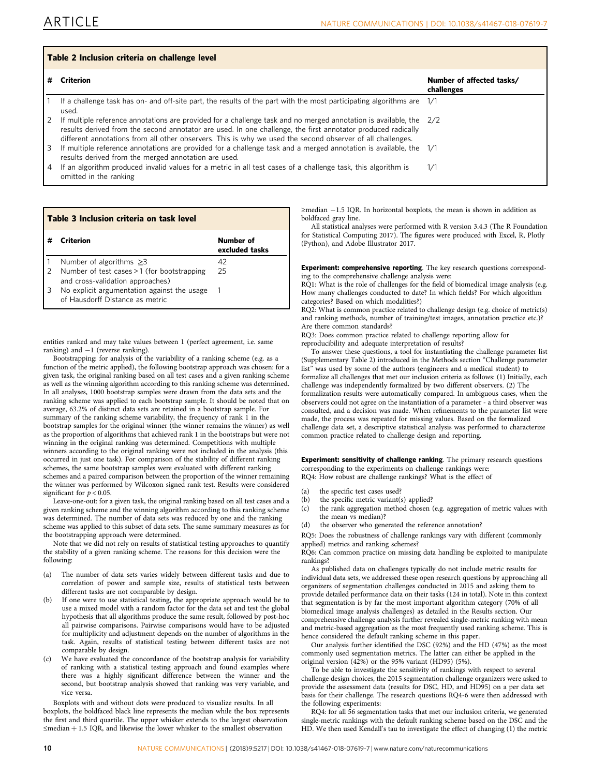<span id="page-9-0"></span>

| Table 2 Inclusion criteria on challenge level |                                                                                                                                                                                                                                                                                                                                                    |                                         |  |  |
|-----------------------------------------------|----------------------------------------------------------------------------------------------------------------------------------------------------------------------------------------------------------------------------------------------------------------------------------------------------------------------------------------------------|-----------------------------------------|--|--|
|                                               | <b>Criterion</b>                                                                                                                                                                                                                                                                                                                                   | Number of affected tasks/<br>challenges |  |  |
|                                               | If a challenge task has on- and off-site part, the results of the part with the most participating algorithms are 1/1<br>used.                                                                                                                                                                                                                     |                                         |  |  |
|                                               | If multiple reference annotations are provided for a challenge task and no merged annotation is available, the $2/2$<br>results derived from the second annotator are used. In one challenge, the first annotator produced radically<br>different annotations from all other observers. This is why we used the second observer of all challenges. |                                         |  |  |
|                                               | If multiple reference annotations are provided for a challenge task and a merged annotation is available, the 1/1<br>results derived from the merged annotation are used.                                                                                                                                                                          |                                         |  |  |
| 4                                             | If an algorithm produced invalid values for a metric in all test cases of a challenge task, this algorithm is<br>omitted in the ranking                                                                                                                                                                                                            | 1/1                                     |  |  |

| Table 3 Inclusion criteria on task level |                                                                                |                             |  |  |
|------------------------------------------|--------------------------------------------------------------------------------|-----------------------------|--|--|
|                                          | Criterion                                                                      | Number of<br>excluded tasks |  |  |
|                                          | Number of algorithms $\geq$ 3                                                  | 42                          |  |  |
| $\mathcal{L}$                            | Number of test cases > 1 (for bootstrapping                                    | 25                          |  |  |
|                                          | and cross-validation approaches)                                               |                             |  |  |
| 3                                        | No explicit argumentation against the usage<br>of Hausdorff Distance as metric | 1                           |  |  |
|                                          |                                                                                |                             |  |  |

entities ranked and may take values between 1 (perfect agreement, i.e. same ranking) and −1 (reverse ranking).

Bootstrapping: for analysis of the variability of a ranking scheme (e.g. as a function of the metric applied), the following bootstrap approach was chosen: for a given task, the original ranking based on all test cases and a given ranking scheme as well as the winning algorithm according to this ranking scheme was determined. In all analyses, 1000 bootstrap samples were drawn from the data sets and the ranking scheme was applied to each bootstrap sample. It should be noted that on average, 63.2% of distinct data sets are retained in a bootstrap sample. For summary of the ranking scheme variability, the frequency of rank 1 in the bootstrap samples for the original winner (the winner remains the winner) as well as the proportion of algorithms that achieved rank 1 in the bootstraps but were not winning in the original ranking was determined. Competitions with multiple winners according to the original ranking were not included in the analysis (this occurred in just one task). For comparison of the stability of different ranking schemes, the same bootstrap samples were evaluated with different ranking schemes and a paired comparison between the proportion of the winner remaining the winner was performed by Wilcoxon signed rank test. Results were considered significant for  $p < 0.05$ .

Leave-one-out: for a given task, the original ranking based on all test cases and a given ranking scheme and the winning algorithm according to this ranking scheme was determined. The number of data sets was reduced by one and the ranking scheme was applied to this subset of data sets. The same summary measures as for the bootstrapping approach were determined.

Note that we did not rely on results of statistical testing approaches to quantify the stability of a given ranking scheme. The reasons for this decision were the following:

- (a) The number of data sets varies widely between different tasks and due to correlation of power and sample size, results of statistical tests between different tasks are not comparable by design.
- (b) If one were to use statistical testing, the appropriate approach would be to use a mixed model with a random factor for the data set and test the global hypothesis that all algorithms produce the same result, followed by post-hoc all pairwise comparisons. Pairwise comparisons would have to be adjusted for multiplicity and adjustment depends on the number of algorithms in the task. Again, results of statistical testing between different tasks are not comparable by design.
- We have evaluated the concordance of the bootstrap analysis for variability of ranking with a statistical testing approach and found examples where there was a highly significant difference between the winner and the second, but bootstrap analysis showed that ranking was very variable, and vice versa.

Boxplots with and without dots were produced to visualize results. In all boxplots, the boldfaced black line represents the median while the box represents the first and third quartile. The upper whisker extends to the largest observation ≤median + 1.5 IQR, and likewise the lower whisker to the smallest observation

≥median −1.5 IQR. In horizontal boxplots, the mean is shown in addition as boldfaced gray line.

All statistical analyses were performed with R version 3.4.3 (The R Foundation for Statistical Computing 2017). The figures were produced with Excel, R, Plotly (Python), and Adobe Illustrator 2017.

**Experiment: comprehensive reporting**. The key research questions corresponding to the comprehensive challenge analysis were:

RQ1: What is the role of challenges for the field of biomedical image analysis (e.g. How many challenges conducted to date? In which fields? For which algorithm categories? Based on which modalities?)

RQ2: What is common practice related to challenge design (e.g. choice of metric(s) and ranking methods, number of training/test images, annotation practice etc.)? Are there common standards?

RQ3: Does common practice related to challenge reporting allow for reproducibility and adequate interpretation of results?

To answer these questions, a tool for instantiating the challenge parameter list (Supplementary Table 2) introduced in the Methods section "Challenge parameter list" was used by some of the authors (engineers and a medical student) to formalize all challenges that met our inclusion criteria as follows: (1) Initially, each challenge was independently formalized by two different observers. (2) The formalization results were automatically compared. In ambiguous cases, when the observers could not agree on the instantiation of a parameter - a third observer was consulted, and a decision was made. When refinements to the parameter list were made, the process was repeated for missing values. Based on the formalized challenge data set, a descriptive statistical analysis was performed to characterize common practice related to challenge design and reporting.

Experiment: sensitivity of challenge ranking. The primary research questions corresponding to the experiments on challenge rankings were: RQ4: How robust are challenge rankings? What is the effect of

- (a) the specific test cases used?
- (b) the specific metric variant(s) applied?
- (c) the rank aggregation method chosen (e.g. aggregation of metric values with the mean vs median)?
- (d) the observer who generated the reference annotation?

RQ5: Does the robustness of challenge rankings vary with different (commonly applied) metrics and ranking schemes?

RQ6: Can common practice on missing data handling be exploited to manipulate rankings?

As published data on challenges typically do not include metric results for individual data sets, we addressed these open research questions by approaching all organizers of segmentation challenges conducted in 2015 and asking them to provide detailed performance data on their tasks (124 in total). Note in this context that segmentation is by far the most important algorithm category (70% of all biomedical image analysis challenges) as detailed in the Results section. Our comprehensive challenge analysis further revealed single-metric ranking with mean and metric-based aggregation as the most frequently used ranking scheme. This is hence considered the default ranking scheme in this paper.

Our analysis further identified the DSC (92%) and the HD (47%) as the most commonly used segmentation metrics. The latter can either be applied in the original version (42%) or the 95% variant (HD95) (5%).

To be able to investigate the sensitivity of rankings with respect to several challenge design choices, the 2015 segmentation challenge organizers were asked to provide the assessment data (results for DSC, HD, and HD95) on a per data set basis for their challenge. The research questions RQ4-6 were then addressed with the following experiments:

RQ4: for all 56 segmentation tasks that met our inclusion criteria, we generated single-metric rankings with the default ranking scheme based on the DSC and the HD. We then used Kendall's tau to investigate the effect of changing (1) the metric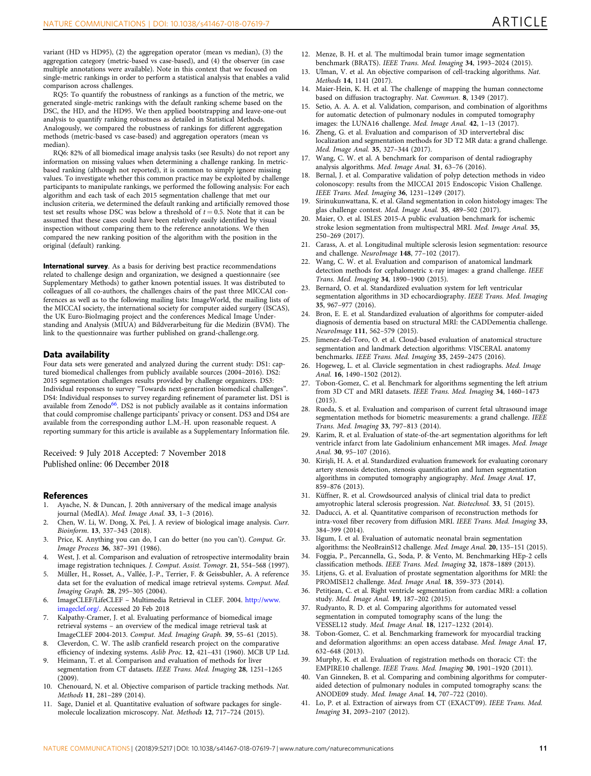<span id="page-10-0"></span>variant (HD vs HD95), (2) the aggregation operator (mean vs median), (3) the aggregation category (metric-based vs case-based), and (4) the observer (in case multiple annotations were available). Note in this context that we focused on single-metric rankings in order to perform a statistical analysis that enables a valid comparison across challenges.

RQ5: To quantify the robustness of rankings as a function of the metric, we generated single-metric rankings with the default ranking scheme based on the DSC, the HD, and the HD95. We then applied bootstrapping and leave-one-out analysis to quantify ranking robustness as detailed in Statistical Methods. Analogously, we compared the robustness of rankings for different aggregation methods (metric-based vs case-based) and aggregation operators (mean vs median).

RQ6: 82% of all biomedical image analysis tasks (see Results) do not report any information on missing values when determining a challenge ranking. In metricbased ranking (although not reported), it is common to simply ignore missing values. To investigate whether this common practice may be exploited by challenge participants to manipulate rankings, we performed the following analysis: For each algorithm and each task of each 2015 segmentation challenge that met our inclusion criteria, we determined the default ranking and artificially removed those test set results whose DSC was below a threshold of  $t = 0.5$ . Note that it can be assumed that these cases could have been relatively easily identified by visual inspection without comparing them to the reference annotations. We then compared the new ranking position of the algorithm with the position in the original (default) ranking.

International survey. As a basis for deriving best practice recommendations related to challenge design and organization, we designed a questionnaire (see Supplementary Methods) to gather known potential issues. It was distributed to colleagues of all co-authors, the challenges chairs of the past three MICCAI conferences as well as to the following mailing lists: ImageWorld, the mailing lists of the MICCAI society, the international society for computer aided surgery (ISCAS), the UK Euro-BioImaging project and the conferences Medical Image Understanding and Analysis (MIUA) and Bildverarbeitung für die Medizin (BVM). The link to the questionnaire was further published on grand-challenge.org.

#### Data availability

Four data sets were generated and analyzed during the current study: DS1: captured biomedical challenges from publicly available sources (2004–2016). DS2: 2015 segmentation challenges results provided by challenge organizers. DS3: Individual responses to survey "Towards next-generation biomedical challenges". DS4: Individual responses to survey regarding refinement of parameter list. DS1 is available from Zenodo<sup>66</sup>. DS2 is not publicly available as it contains information that could compromise challenge participants' privacy or consent. DS3 and DS4 are available from the corresponding author L.M.-H. upon reasonable request. A reporting summary for this article is available as a Supplementary Information file.

Received: 9 July 2018 Accepted: 7 November 2018 Published online: 06 December 2018

#### **References**

- 1. Ayache, N. & Duncan, J. 20th anniversary of the medical image analysis journal (MedIA). Med. Image Anal. 33, 1–3 (2016).
- 2. Chen, W. Li, W. Dong, X. Pei, J. A review of biological image analysis. Curr. Bioinform. 13, 337–343 (2018).
- 3. Price, K. Anything you can do, I can do better (no you can't). Comput. Gr. Image Process 36, 387–391 (1986).
- 4. West, J. et al. Comparison and evaluation of retrospective intermodality brain image registration techniques. J. Comput. Assist. Tomogr. 21, 554–568 (1997).
- 5. Müller, H., Rosset, A., Vallée, J.-P., Terrier, F. & Geissbuhler, A. A reference data set for the evaluation of medical image retrieval systems. Comput. Med. Imaging Graph. 28, 295–305 (2004).
- 6. ImageCLEF/LifeCLEF Multimedia Retrieval in CLEF. 2004. [http://www.](http://www.imageclef.org/) [imageclef.org/](http://www.imageclef.org/). Accessed 20 Feb 2018
- 7. Kalpathy-Cramer, J. et al. Evaluating performance of biomedical image retrieval systems – an overview of the medical image retrieval task at ImageCLEF 2004-2013. Comput. Med. Imaging Graph. 39, 55–61 (2015).
- 8. Cleverdon, C. W. The aslib cranfield research project on the comparative efficiency of indexing systems. Aslib Proc. 12, 421-431 (1960). MCB UP Ltd.
- 9. Heimann, T. et al. Comparison and evaluation of methods for liver segmentation from CT datasets. IEEE Trans. Med. Imaging 28, 1251–1265 (2009).
- 10. Chenouard, N. et al. Objective comparison of particle tracking methods. Nat. Methods 11, 281–289 (2014).
- 11. Sage, Daniel et al. Quantitative evaluation of software packages for singlemolecule localization microscopy. Nat. Methods 12, 717–724 (2015).
- 12. Menze, B. H. et al. The multimodal brain tumor image segmentation benchmark (BRATS). IEEE Trans. Med. Imaging 34, 1993–2024 (2015).
- 13. Ulman, V. et al. An objective comparison of cell-tracking algorithms. Nat. Methods 14, 1141 (2017).
- 14. Maier-Hein, K. H. et al. The challenge of mapping the human connectome based on diffusion tractography. Nat. Commun. 8, 1349 (2017).
- 15. Setio, A. A. A. et al. Validation, comparison, and combination of algorithms for automatic detection of pulmonary nodules in computed tomography images: the LUNA16 challenge. Med. Image Anal. 42, 1–13 (2017).
- 16. Zheng, G. et al. Evaluation and comparison of 3D intervertebral disc localization and segmentation methods for 3D T2 MR data: a grand challenge. Med. Image Anal. 35, 327–344 (2017).
- 17. Wang, C. W. et al. A benchmark for comparison of dental radiography analysis algorithms. Med. Image Anal. 31, 63–76 (2016).
- 18. Bernal, J. et al. Comparative validation of polyp detection methods in video colonoscopy: results from the MICCAI 2015 Endoscopic Vision Challenge. IEEE Trans. Med. Imaging 36, 1231–1249 (2017).
- Sirinukunwattana, K. et al. Gland segmentation in colon histology images: The glas challenge contest. Med. Image Anal. 35, 489–502 (2017).
- 20. Maier, O. et al. ISLES 2015-A public evaluation benchmark for ischemic stroke lesion segmentation from multispectral MRI. Med. Image Anal. 35, 250–269 (2017).
- 21. Carass, A. et al. Longitudinal multiple sclerosis lesion segmentation: resource and challenge. NeuroImage 148, 77–102 (2017).
- 22. Wang, C. W. et al. Evaluation and comparison of anatomical landmark detection methods for cephalometric x-ray images: a grand challenge. IEEE Trans. Med. Imaging 34, 1890–1900 (2015).
- 23. Bernard, O. et al. Standardized evaluation system for left ventricular segmentation algorithms in 3D echocardiography. IEEE Trans. Med. Imaging 35, 967–977 (2016).
- 24. Bron, E. E. et al. Standardized evaluation of algorithms for computer-aided diagnosis of dementia based on structural MRI: the CADDementia challenge. NeuroImage 111, 562–579 (2015).
- 25. Jimenez-del-Toro, O. et al. Cloud-based evaluation of anatomical structure segmentation and landmark detection algorithms: VISCERAL anatomy benchmarks. IEEE Trans. Med. Imaging 35, 2459–2475 (2016).
- 26. Hogeweg, L. et al. Clavicle segmentation in chest radiographs. Med. Image Anal. 16, 1490–1502 (2012).
- 27. Tobon-Gomez, C. et al. Benchmark for algorithms segmenting the left atrium from 3D CT and MRI datasets. IEEE Trans. Med. Imaging 34, 1460–1473 (2015).
- 28. Rueda, S. et al. Evaluation and comparison of current fetal ultrasound image segmentation methods for biometric measurements: a grand challenge. IEEE Trans. Med. Imaging 33, 797–813 (2014).
- 29. Karim, R. et al. Evaluation of state-of-the-art segmentation algorithms for left ventricle infarct from late Gadolinium enhancement MR images. Med. Image Anal. 30, 95–107 (2016).
- 30. Kirişli, H. A. et al. Standardized evaluation framework for evaluating coronary artery stenosis detection, stenosis quantification and lumen segmentation algorithms in computed tomography angiography. Med. Image Anal. 17, 859–876 (2013).
- 31. Küffner, R. et al. Crowdsourced analysis of clinical trial data to predict amyotrophic lateral sclerosis progression. Nat. Biotechnol. 33, 51 (2015).
- 32. Daducci, A. et al. Quantitative comparison of reconstruction methods for intra-voxel fiber recovery from diffusion MRI. IEEE Trans. Med. Imaging 33, 384–399 (2014).
- 33. Išgum, I. et al. Evaluation of automatic neonatal brain segmentation algorithms: the NeoBrainS12 challenge. Med. Image Anal. 20, 135–151 (2015).
- 34. Foggia, P., Percannella, G., Soda, P. & Vento, M. Benchmarking HEp-2 cells classification methods. IEEE Trans. Med. Imaging 32, 1878-1889 (2013).
- Litjens, G. et al. Evaluation of prostate segmentation algorithms for MRI: the PROMISE12 challenge. Med. Image Anal. 18, 359–373 (2014).
- 36. Petitjean, C. et al. Right ventricle segmentation from cardiac MRI: a collation study. Med. Image Anal. 19, 187–202 (2015).
- 37. Rudyanto, R. D. et al. Comparing algorithms for automated vessel segmentation in computed tomography scans of the lung: the VESSEL12 study. Med. Image Anal. 18, 1217–1232 (2014).
- 38. Tobon-Gomez, C. et al. Benchmarking framework for myocardial tracking and deformation algorithms: an open access database. Med. Image Anal. 17, 632–648 (2013).
- 39. Murphy, K. et al. Evaluation of registration methods on thoracic CT: the EMPIRE10 challenge. IEEE Trans. Med. Imaging 30, 1901–1920 (2011).
- 40. Van Ginneken, B. et al. Comparing and combining algorithms for computeraided detection of pulmonary nodules in computed tomography scans: the ANODE09 study. Med. Image Anal. 14, 707–722 (2010).
- 41. Lo, P. et al. Extraction of airways from CT (EXACT'09). IEEE Trans. Med. Imaging 31, 2093–2107 (2012).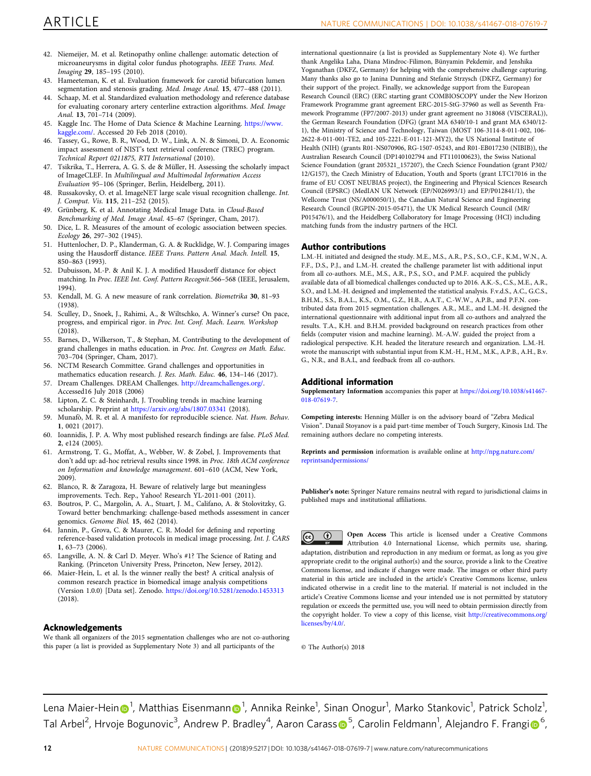- <span id="page-11-0"></span>42. Niemeijer, M. et al. Retinopathy online challenge: automatic detection of microaneurysms in digital color fundus photographs. IEEE Trans. Med. Imaging 29, 185–195 (2010).
- Hameeteman, K. et al. Evaluation framework for carotid bifurcation lumen segmentation and stenosis grading. Med. Image Anal. 15, 477–488 (2011).
- Schaap, M. et al. Standardized evaluation methodology and reference database for evaluating coronary artery centerline extraction algorithms. Med. Image Anal. 13, 701–714 (2009).
- 45. Kaggle Inc. The Home of Data Science & Machine Learning. [https://www.](https://www.kaggle.com/) [kaggle.com/.](https://www.kaggle.com/) Accessed 20 Feb 2018 (2010).
- 46. Tassey, G., Rowe, B. R., Wood, D. W., Link, A. N. & Simoni, D. A. Economic impact assessment of NIST's text retrieval conference (TREC) program. Technical Report 0211875, RTI International (2010).
- 47. Tsikrika, T., Herrera, A. G. S. de & Müller, H. Assessing the scholarly impact of ImageCLEF. In Multilingual and Multimodal Information Access Evaluation 95–106 (Springer, Berlin, Heidelberg, 2011).
- 48. Russakovsky, O. et al. ImageNET large scale visual recognition challenge. Int. J. Comput. Vis. 115, 211–252 (2015).
- 49. Grünberg, K. et al. Annotating Medical Image Data. in Cloud-Based Benchmarking of Med. Image Anal. 45–67 (Springer, Cham, 2017).
- 50. Dice, L. R. Measures of the amount of ecologic association between species. Ecology 26, 297–302 (1945).
- 51. Huttenlocher, D. P., Klanderman, G. A. & Rucklidge, W. J. Comparing images using the Hausdorff distance. IEEE Trans. Pattern Anal. Mach. Intell. 15, 850–863 (1993).
- 52. Dubuisson, M.-P. & Anil K. J. A modified Hausdorff distance for object matching. In Proc. IEEE Int. Conf. Pattern Recognit.566–568 (IEEE, Jerusalem, 1994).
- 53. Kendall, M. G. A new measure of rank correlation. Biometrika 30, 81–93 (1938).
- 54. Sculley, D., Snoek, J., Rahimi, A., & Wiltschko, A. Winner's curse? On pace, progress, and empirical rigor. in Proc. Int. Conf. Mach. Learn. Workshop  $(2018)$
- 55. Barnes, D., Wilkerson, T., & Stephan, M. Contributing to the development of grand challenges in maths education. in Proc. Int. Congress on Math. Educ. 703–704 (Springer, Cham, 2017).
- 56. NCTM Research Committee. Grand challenges and opportunities in mathematics education research. J. Res. Math. Educ. 46, 134–146 (2017).
- 57. Dream Challenges. DREAM Challenges. <http://dreamchallenges.org/>. Accessed16 July 2018 (2006)
- 58. Lipton, Z. C. & Steinhardt, J. Troubling trends in machine learning scholarship. Preprint at <https://arxiv.org/abs/1807.03341> (2018).
- 59. Munafò, M. R. et al. A manifesto for reproducible science. Nat. Hum. Behav. 1, 0021 (2017).
- 60. Ioannidis, J. P. A. Why most published research findings are false. PLoS Med. 2, e124 (2005).
- Armstrong, T. G., Moffat, A., Webber, W. & Zobel, J. Improvements that don't add up: ad-hoc retrieval results since 1998. in Proc. 18th ACM conference on Information and knowledge management. 601–610 (ACM, New York, 2009).
- 62. Blanco, R. & Zaragoza, H. Beware of relatively large but meaningless improvements. Tech. Rep., Yahoo! Research YL-2011-001 (2011).
- 63. Boutros, P. C., Margolin, A. A., Stuart, J. M., Califano, A. & Stolovitzky, G. Toward better benchmarking: challenge-based methods assessment in cancer genomics. Genome Biol. 15, 462 (2014).
- 64. Jannin, P., Grova, C. & Maurer, C. R. Model for defining and reporting reference-based validation protocols in medical image processing. Int. J. CARS 1, 63–73 (2006).
- Langville, A. N. & Carl D. Meyer. Who's #1? The Science of Rating and Ranking. (Princeton University Press, Princeton, New Jersey, 2012).
- 66. Maier-Hein, L. et al. Is the winner really the best? A critical analysis of common research practice in biomedical image analysis competitions (Version 1.0.0) [Data set]. Zenodo. <https://doi.org/10.5281/zenodo.1453313> (2018).

#### Acknowledgements

We thank all organizers of the 2015 segmentation challenges who are not co-authoring this paper (a list is provided as Supplementary Note 3) and all participants of the

international questionnaire (a list is provided as Supplementary Note 4). We further thank Angelika Laha, Diana Mindroc-Filimon, Bünyamin Pekdemir, and Jenshika Yoganathan (DKFZ, Germany) for helping with the comprehensive challenge capturing. Many thanks also go to Janina Dunning and Stefanie Strzysch (DKFZ, Germany) for their support of the project. Finally, we acknowledge support from the European Research Council (ERC) (ERC starting grant COMBIOSCOPY under the New Horizon Framework Programme grant agreement ERC-2015-StG-37960 as well as Seventh Framework Programme (FP7/2007-2013) under grant agreement no 318068 (VISCERAL)), the German Research Foundation (DFG) (grant MA 6340/10-1 and grant MA 6340/12- 1), the Ministry of Science and Technology, Taiwan (MOST 106-3114-8-011-002, 106- 2622-8-011-001-TE2, and 105-2221-E-011-121-MY2), the US National Institute of Health (NIH) (grants R01-NS070906, RG-1507-05243, and R01-EB017230 (NIBIB)), the Australian Research Council (DP140102794 and FT110100623), the Swiss National Science Foundation (grant 205321\_157207), the Czech Science Foundation (grant P302/ 12/G157), the Czech Ministry of Education, Youth and Sports (grant LTC17016 in the frame of EU COST NEUBIAS project), the Engineering and Physical Sciences Research Council (EPSRC) (MedIAN UK Network (EP/N026993/1) and EP/P012841/1), the Wellcome Trust (NS/A000050/1), the Canadian Natural Science and Engineering Research Council (RGPIN-2015-05471), the UK Medical Research Council (MR/ P015476/1), and the Heidelberg Collaboratory for Image Processing (HCI) including matching funds from the industry partners of the HCI.

#### Author contributions

L.M.-H. initiated and designed the study. M.E., M.S., A.R., P.S., S.O., C.F., K.M., W.N., A. F.F., D.S., P.J., and L.M.-H. created the challenge parameter list with additional input from all co-authors. M.E., M.S., A.R., P.S., S.O., and P.M.F. acquired the publicly available data of all biomedical challenges conducted up to 2016. A.K.-S., C.S., M.E., A.R., S.O., and L.M.-H. designed and implemented the statistical analysis. F.v.d.S., A.C., G.C.S., B.H.M., S.S., B.A.L., K.S., O.M., G.Z., H.B., A.A.T., C.-W.W., A.P.B., and P.F.N. contributed data from 2015 segmentation challenges. A.R., M.E., and L.M.-H. designed the international questionnaire with additional input from all co-authors and analyzed the results. T.A., K.H. and B.H.M. provided background on research practices from other fields (computer vision and machine learning). M.-A.W. guided the project from a radiological perspective. K.H. headed the literature research and organization. L.M.-H. wrote the manuscript with substantial input from K.M.-H., H.M., M.K., A.P.B., A.H., B.v. G., N.R., and B.A.L, and feedback from all co-authors.

#### Additional information

Supplementary Information accompanies this paper at [https://doi.org/10.1038/s41467-](https://doi.org/10.1038/s41467-018-07619-7) [018-07619-7.](https://doi.org/10.1038/s41467-018-07619-7)

Competing interests: Henning Müller is on the advisory board of "Zebra Medical Vision". Danail Stoyanov is a paid part-time member of Touch Surgery, Kinosis Ltd. The remaining authors declare no competing interests.

Reprints and permission information is available online at [http://npg.nature.com/](http://npg.nature.com/reprintsandpermissions/) [reprintsandpermissions/](http://npg.nature.com/reprintsandpermissions/)

Publisher's note: Springer Nature remains neutral with regard to jurisdictional claims in published maps and institutional affiliations.

Open Access This article is licensed under a Creative Commons  $\odot$  $(cc)$ Attribution 4.0 International License, which permits use, sharing, adaptation, distribution and reproduction in any medium or format, as long as you give appropriate credit to the original author(s) and the source, provide a link to the Creative Commons license, and indicate if changes were made. The images or other third party material in this article are included in the article's Creative Commons license, unless indicated otherwise in a credit line to the material. If material is not included in the article's Creative Commons license and your intended use is not permitted by statutory regulation or exceeds the permitted use, you will need to obtain permission directly from the copyright holder. To view a copy of this license, visit [http://creativecommons.org/](http://creativecommons.org/licenses/by/4.0/) [licenses/by/4.0/](http://creativecommons.org/licenses/by/4.0/).

© The Author(s) 2018

Le[n](http://orcid.org/0000-0002-0713-8761)a Maier-Hein⊕<sup>[1](http://orcid.org/0000-0002-0713-8761)</sup>, Matthias Eisenmann⊕<sup>1</sup>, Annika Reinke<sup>1</sup>, Sinan Onogur<sup>1</sup>, Marko Stankovic<sup>1</sup>, Patrick Scholz<sup>1</sup>, Tal Arbel<[s](http://orcid.org/0000-0003-4939-5085)up>2</sup>, Hrvoje Bogunovic<sup>3</sup>, Andrew P. Bradley<sup>4</sup>, Aaron Carass⊕<sup>[5](http://orcid.org/0000-0003-4939-5085)</sup>, Carolin Feldmann<sup>1</sup>, Alejandro F. Fran[gi](http://orcid.org/0000-0002-2675-528X)⊕<sup>[6](http://orcid.org/0000-0002-2675-528X)</sup>,